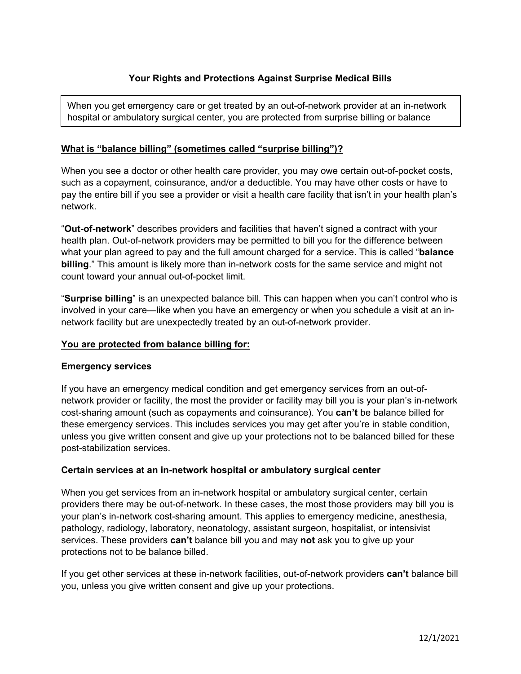When you get emergency care or get treated by an out-of-network provider at an in-network hospital or ambulatory surgical center, you are protected from surprise billing or balance

# **What is "balance billing" (sometimes called "surprise billing")?**

When you see a doctor or other health care provider, you may owe certain out-of-pocket costs, such as a copayment, coinsurance, and/or a deductible. You may have other costs or have to pay the entire bill if you see a provider or visit a health care facility that isn't in your health plan's network.

"**Out-of-network**" describes providers and facilities that haven't signed a contract with your health plan. Out-of-network providers may be permitted to bill you for the difference between what your plan agreed to pay and the full amount charged for a service. This is called "**balance billing**." This amount is likely more than in-network costs for the same service and might not count toward your annual out-of-pocket limit.

"**Surprise billing**" is an unexpected balance bill. This can happen when you can't control who is involved in your care—like when you have an emergency or when you schedule a visit at an innetwork facility but are unexpectedly treated by an out-of-network provider.

## **You are protected from balance billing for:**

## **Emergency services**

If you have an emergency medical condition and get emergency services from an out-ofnetwork provider or facility, the most the provider or facility may bill you is your plan's in-network cost-sharing amount (such as copayments and coinsurance). You **can't** be balance billed for these emergency services. This includes services you may get after you're in stable condition, unless you give written consent and give up your protections not to be balanced billed for these post-stabilization services.

## **Certain services at an in-network hospital or ambulatory surgical center**

When you get services from an in-network hospital or ambulatory surgical center, certain providers there may be out-of-network. In these cases, the most those providers may bill you is your plan's in-network cost-sharing amount. This applies to emergency medicine, anesthesia, pathology, radiology, laboratory, neonatology, assistant surgeon, hospitalist, or intensivist services. These providers **can't** balance bill you and may **not** ask you to give up your protections not to be balance billed.

If you get other services at these in-network facilities, out-of-network providers **can't** balance bill you, unless you give written consent and give up your protections.